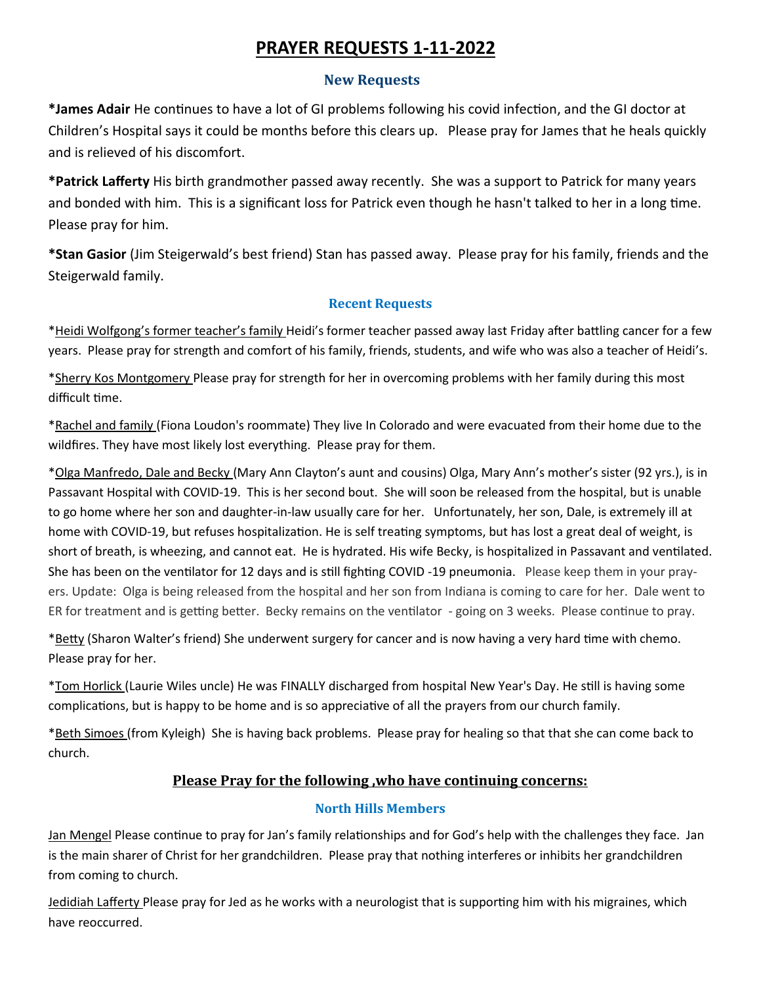# **PRAYER REQUESTS 1-11-2022**

#### **New Requests**

**\*James Adair** He continues to have a lot of GI problems following his covid infection, and the GI doctor at Children's Hospital says it could be months before this clears up. Please pray for James that he heals quickly and is relieved of his discomfort.

**\*Patrick Lafferty** His birth grandmother passed away recently. She was a support to Patrick for many years and bonded with him. This is a significant loss for Patrick even though he hasn't talked to her in a long time. Please pray for him.

**\*Stan Gasior** (Jim Steigerwald's best friend) Stan has passed away. Please pray for his family, friends and the Steigerwald family.

#### **Recent Requests**

\*Heidi Wolfgong's former teacher's family Heidi's former teacher passed away last Friday after battling cancer for a few years. Please pray for strength and comfort of his family, friends, students, and wife who was also a teacher of Heidi's.

\*Sherry Kos Montgomery Please pray for strength for her in overcoming problems with her family during this most difficult time.

\*Rachel and family (Fiona Loudon's roommate) They live In Colorado and were evacuated from their home due to the wildfires. They have most likely lost everything. Please pray for them.

\*Olga Manfredo, Dale and Becky (Mary Ann Clayton's aunt and cousins) Olga, Mary Ann's mother's sister (92 yrs.), is in Passavant Hospital with COVID-19. This is her second bout. She will soon be released from the hospital, but is unable to go home where her son and daughter-in-law usually care for her. Unfortunately, her son, Dale, is extremely ill at home with COVID-19, but refuses hospitalization. He is self treating symptoms, but has lost a great deal of weight, is short of breath, is wheezing, and cannot eat. He is hydrated. His wife Becky, is hospitalized in Passavant and ventilated. She has been on the ventilator for 12 days and is still fighting COVID -19 pneumonia. Please keep them in your prayers. Update: Olga is being released from the hospital and her son from Indiana is coming to care for her. Dale went to ER for treatment and is getting better. Becky remains on the ventilator - going on 3 weeks. Please continue to pray.

\*Betty (Sharon Walter's friend) She underwent surgery for cancer and is now having a very hard time with chemo. Please pray for her.

\*Tom Horlick (Laurie Wiles uncle) He was FINALLY discharged from hospital New Year's Day. He still is having some complications, but is happy to be home and is so appreciative of all the prayers from our church family.

\*Beth Simoes (from Kyleigh) She is having back problems. Please pray for healing so that that she can come back to church.

## **Please Pray for the following ,who have continuing concerns:**

## **North Hills Members**

Jan Mengel Please continue to pray for Jan's family relationships and for God's help with the challenges they face. Jan is the main sharer of Christ for her grandchildren. Please pray that nothing interferes or inhibits her grandchildren from coming to church.

Jedidiah Lafferty Please pray for Jed as he works with a neurologist that is supporting him with his migraines, which have reoccurred.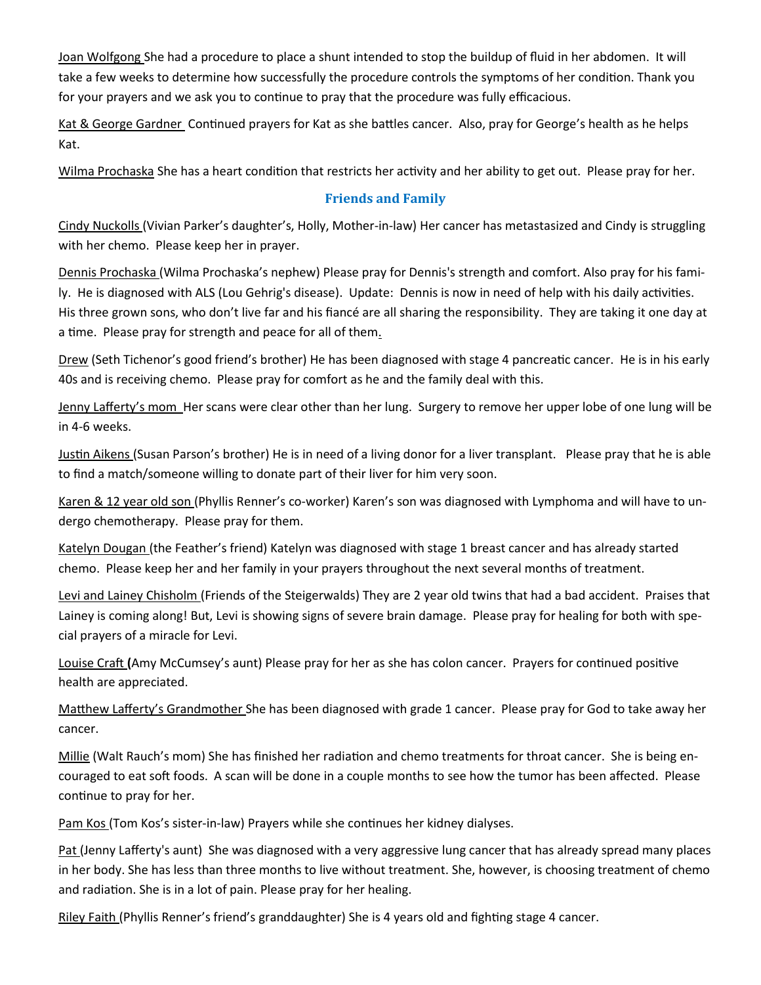Joan Wolfgong She had a procedure to place a shunt intended to stop the buildup of fluid in her abdomen. It will take a few weeks to determine how successfully the procedure controls the symptoms of her condition. Thank you for your prayers and we ask you to continue to pray that the procedure was fully efficacious.

Kat & George Gardner Continued prayers for Kat as she battles cancer. Also, pray for George's health as he helps Kat.

Wilma Prochaska She has a heart condition that restricts her activity and her ability to get out. Please pray for her.

## **Friends and Family**

Cindy Nuckolls (Vivian Parker's daughter's, Holly, Mother-in-law) Her cancer has metastasized and Cindy is struggling with her chemo. Please keep her in prayer.

Dennis Prochaska (Wilma Prochaska's nephew) Please pray for Dennis's strength and comfort. Also pray for his family. He is diagnosed with ALS (Lou Gehrig's disease). Update: Dennis is now in need of help with his daily activities. His three grown sons, who don't live far and his fiancé are all sharing the responsibility. They are taking it one day at a time. Please pray for strength and peace for all of them.

Drew (Seth Tichenor's good friend's brother) He has been diagnosed with stage 4 pancreatic cancer. He is in his early 40s and is receiving chemo. Please pray for comfort as he and the family deal with this.

Jenny Lafferty's mom Her scans were clear other than her lung. Surgery to remove her upper lobe of one lung will be in 4-6 weeks.

Justin Aikens (Susan Parson's brother) He is in need of a living donor for a liver transplant. Please pray that he is able to find a match/someone willing to donate part of their liver for him very soon.

Karen & 12 year old son (Phyllis Renner's co-worker) Karen's son was diagnosed with Lymphoma and will have to undergo chemotherapy. Please pray for them.

Katelyn Dougan (the Feather's friend) Katelyn was diagnosed with stage 1 breast cancer and has already started chemo. Please keep her and her family in your prayers throughout the next several months of treatment.

Levi and Lainey Chisholm (Friends of the Steigerwalds) They are 2 year old twins that had a bad accident. Praises that Lainey is coming along! But, Levi is showing signs of severe brain damage. Please pray for healing for both with special prayers of a miracle for Levi.

Louise Craft **(**Amy McCumsey's aunt) Please pray for her as she has colon cancer. Prayers for continued positive health are appreciated.

Matthew Lafferty's Grandmother She has been diagnosed with grade 1 cancer. Please pray for God to take away her cancer.

Millie (Walt Rauch's mom) She has finished her radiation and chemo treatments for throat cancer. She is being encouraged to eat soft foods. A scan will be done in a couple months to see how the tumor has been affected. Please continue to pray for her.

Pam Kos (Tom Kos's sister-in-law) Prayers while she continues her kidney dialyses.

Pat (Jenny Lafferty's aunt) She was diagnosed with a very aggressive lung cancer that has already spread many places in her body. She has less than three months to live without treatment. She, however, is choosing treatment of chemo and radiation. She is in a lot of pain. Please pray for her healing.

Riley Faith (Phyllis Renner's friend's granddaughter) She is 4 years old and fighting stage 4 cancer.